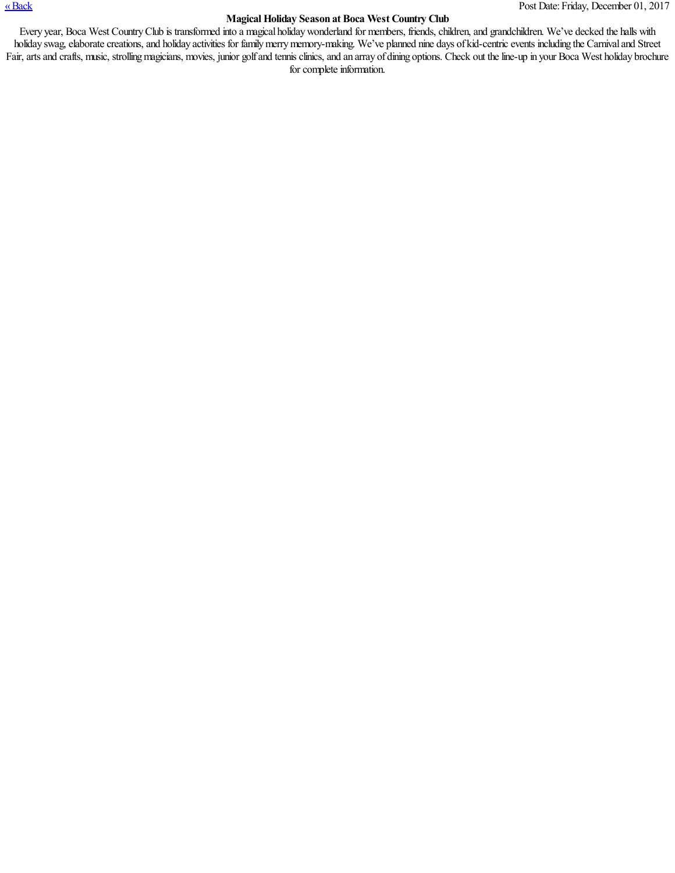## [«Back](javascript:history.go(-1)) Post Date:Friday, December 01, 2017

## **MagicalHoliday Season at Boca West Country Club**

Every year, Boca West Country Club is transformed into a magical holiday wonderland for members, friends, children, and grandchildren. We've decked the halls with holiday swag, elaborate creations, and holiday activities for family merry memory-making. We've planned nine days of kid-centric events including the Carnival and Street Fair, arts and crafts, music, strolling magicians, movies, junior golf and tennis clinics, and an array of dining options. Check out the line-up in your Boca West holiday brochure for complete information.